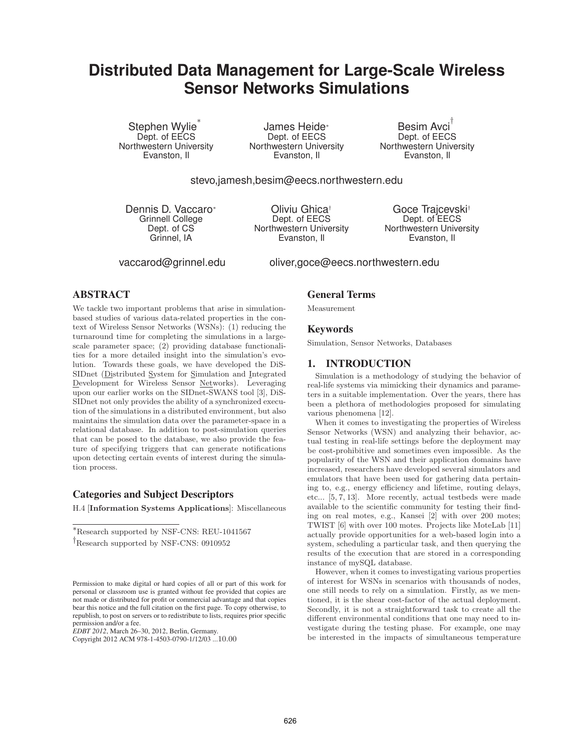# **Distributed Data Management for Large-Scale Wireless Sensor Networks Simulations**

Stephen Wylie Dept. of EECS Northwestern University Evanston, Il

James Heide<sup>∗</sup> Dept. of EECS Northwestern University Evanston, Il

Besim Avci Dept. of EECS Northwestern University Evanston, Il

stevo,jamesh,besim@eecs.northwestern.edu

Dennis D. Vaccaro<sup>∗</sup> Grinnell College Dept. of CS Grinnel, IA

Oliviu Ghica† Dept. of EECS Northwestern University Evanston, Il

Goce Trajcevski† Dept. of EECS Northwestern University Evanston, Il

vaccarod@grinnel.edu oliver,goce@eecs.northwestern.edu

## **ABSTRACT**

We tackle two important problems that arise in simulationbased studies of various data-related properties in the context of Wireless Sensor Networks (WSNs): (1) reducing the turnaround time for completing the simulations in a largescale parameter space; (2) providing database functionalities for a more detailed insight into the simulation's evolution. Towards these goals, we have developed the DiS-SIDnet (Distributed System for Simulation and Integrated Development for Wireless Sensor Networks). Leveraging upon our earlier works on the SIDnet-SWANS tool [3], DiS-SIDnet not only provides the ability of a synchronized execution of the simulations in a distributed environment, but also maintains the simulation data over the parameter-space in a relational database. In addition to post-simulation queries that can be posed to the database, we also provide the feature of specifying triggers that can generate notifications upon detecting certain events of interest during the simulation process.

## **Categories and Subject Descriptors**

H.4 [**Information Systems Applications**]: Miscellaneous

∗Research supported by NSF-CNS: REU-1041567

*EDBT 2012*, March 26–30, 2012, Berlin, Germany.

Copyright 2012 ACM 978-1-4503-0790-1/12/03 ...10.00

## **General Terms**

Measurement

### **Keywords**

Simulation, Sensor Networks, Databases

#### **1. INTRODUCTION**

Simulation is a methodology of studying the behavior of real-life systems via mimicking their dynamics and parameters in a suitable implementation. Over the years, there has been a plethora of methodologies proposed for simulating various phenomena [12].

When it comes to investigating the properties of Wireless Sensor Networks (WSN) and analyzing their behavior, actual testing in real-life settings before the deployment may be cost-prohibitive and sometimes even impossible. As the popularity of the WSN and their application domains have increased, researchers have developed several simulators and emulators that have been used for gathering data pertaining to, e.g., energy efficiency and lifetime, routing delays, etc... [5, 7, 13]. More recently, actual testbeds were made available to the scientific community for testing their finding on real motes, e.g., Kansei [2] with over 200 motes; TWIST [6] with over 100 motes. Projects like MoteLab [11] actually provide opportunities for a web-based login into a system, scheduling a particular task, and then querying the results of the execution that are stored in a corresponding instance of mySQL database.

However, when it comes to investigating various properties of interest for WSNs in scenarios with thousands of nodes, one still needs to rely on a simulation. Firstly, as we mentioned, it is the shear cost-factor of the actual deployment. Secondly, it is not a straightforward task to create all the different environmental conditions that one may need to investigate during the testing phase. For example, one may be interested in the impacts of simultaneous temperature

<sup>†</sup>Research supported by NSF-CNS: 0910952

Permission to make digital or hard copies of all or part of this work for personal or classroom use is granted without fee provided that copies are not made or distributed for profit or commercial advantage and that copies bear this notice and the full citation on the first page. To copy otherwise, to republish, to post on servers or to redistribute to lists, requires prior specific permission and/or a fee.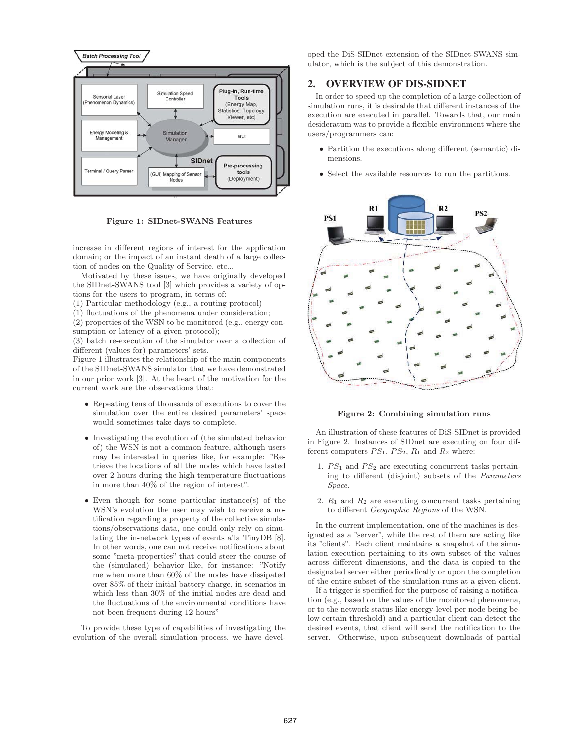

**Figure 1: SIDnet-SWANS Features**

increase in different regions of interest for the application domain; or the impact of an instant death of a large collection of nodes on the Quality of Service, etc...

Motivated by these issues, we have originally developed the SIDnet-SWANS tool [3] which provides a variety of options for the users to program, in terms of:

(1) Particular methodology (e.g., a routing protocol)

(1) fluctuations of the phenomena under consideration;

(2) properties of the WSN to be monitored (e.g., energy consumption or latency of a given protocol);

(3) batch re-execution of the simulator over a collection of different (values for) parameters' sets.

Figure 1 illustrates the relationship of the main components of the SIDnet-SWANS simulator that we have demonstrated in our prior work [3]. At the heart of the motivation for the current work are the observations that:

- Repeating tens of thousands of executions to cover the simulation over the entire desired parameters' space would sometimes take days to complete.
- Investigating the evolution of (the simulated behavior of) the WSN is not a common feature, although users may be interested in queries like, for example: "Retrieve the locations of all the nodes which have lasted over 2 hours during the high temperature fluctuations in more than 40% of the region of interest".
- Even though for some particular instance(s) of the WSN's evolution the user may wish to receive a notification regarding a property of the collective simulations/observations data, one could only rely on simulating the in-network types of events a'la TinyDB [8]. In other words, one can not receive notifications about some "meta-properties" that could steer the course of the (simulated) behavior like, for instance: "Notify me when more than 60% of the nodes have dissipated over 85% of their initial battery charge, in scenarios in which less than 30% of the initial nodes are dead and the fluctuations of the environmental conditions have not been frequent during 12 hours"

To provide these type of capabilities of investigating the evolution of the overall simulation process, we have developed the DiS-SIDnet extension of the SIDnet-SWANS simulator, which is the subject of this demonstration.

## **2. OVERVIEW OF DIS-SIDNET**

In order to speed up the completion of a large collection of simulation runs, it is desirable that different instances of the execution are executed in parallel. Towards that, our main desideratum was to provide a flexible environment where the users/programmers can:

- Partition the executions along different (semantic) dimensions.
- Select the available resources to run the partitions.



**Figure 2: Combining simulation runs**

An illustration of these features of DiS-SIDnet is provided in Figure 2. Instances of SIDnet are executing on four different computers  $PS_1$ ,  $PS_2$ ,  $R_1$  and  $R_2$  where:

- 1.  $PS_1$  and  $PS_2$  are executing concurrent tasks pertaining to different (disjoint) subsets of the Parameters Space.
- 2.  $R_1$  and  $R_2$  are executing concurrent tasks pertaining to different Geographic Regions of the WSN.

In the current implementation, one of the machines is designated as a "server", while the rest of them are acting like its "clients". Each client maintains a snapshot of the simulation execution pertaining to its own subset of the values across different dimensions, and the data is copied to the designated server either periodically or upon the completion of the entire subset of the simulation-runs at a given client.

If a trigger is specified for the purpose of raising a notification (e.g., based on the values of the monitored phenomena, or to the network status like energy-level per node being below certain threshold) and a particular client can detect the desired events, that client will send the notification to the server. Otherwise, upon subsequent downloads of partial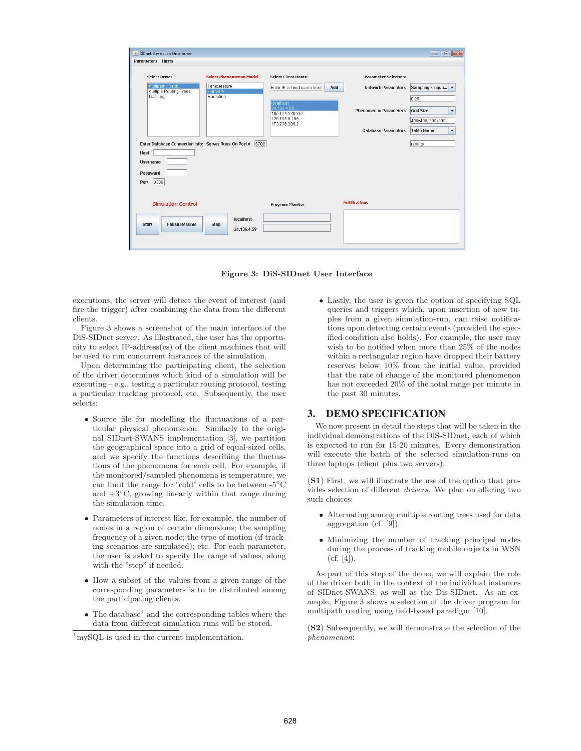| <b>Select Driver</b>                                          | <b>Select Phenomenon Model</b> | <b>Select Client Hosts:</b>                 | <b>Parameter Selection:</b>        |                   |  |
|---------------------------------------------------------------|--------------------------------|---------------------------------------------|------------------------------------|-------------------|--|
| Multipath (Field)<br>Multiple Routing Trees                   | Temperature<br><b>Humidity</b> | Enter IP or host name here<br>Add           | Network Parameters Sampling Freque |                   |  |
| Tracking                                                      | Radiation                      |                                             |                                    | 0.25              |  |
|                                                               |                                | localhost<br>24.136.4.59<br>165.124.138.252 | <b>Phenomenon Parameters</b>       | <b>Grid Size</b>  |  |
|                                                               |                                | 129.105.6.195<br>173.236.209.2              |                                    | 400x400, 300x300  |  |
|                                                               |                                |                                             | <b>Database Parameters</b>         | <b>Table Name</b> |  |
| Enter Database Connection Info: Server Runs On Port #<br>Host | 6789                           |                                             |                                    | results           |  |
| <b>Username</b><br>Password<br>3306<br>Port                   |                                |                                             |                                    |                   |  |
| <b>Simulation Control</b>                                     |                                | <b>Progress Monitor</b>                     | <b>Notifications</b>               |                   |  |
|                                                               |                                |                                             |                                    |                   |  |



executions, the server will detect the event of interest (and fire the trigger) after combining the data from the different clients.

Figure 3 shows a screenshot of the main interface of the DiS-SIDnet server. As illustrated, the user has the opportunity to select IP-address(es) of the client machines that will be used to run concurrent instances of the simulation.

Upon determining the participating client, the selection of the driver determines which kind of a simulation will be executing – e.g., testing a particular routing protocol, testing a particular tracking protocol, etc. Subsequently, the user selects:

- Source file for modelling the fluctuations of a particular physical phenomenon. Similarly to the original SIDnet-SWANS implementation [3], we partition the geographical space into a grid of equal-sized cells, and we specify the functions describing the fluctuations of the phenomena for each cell. For example, if the monitored/sampled phenomena is temperature, we can limit the range for "cold" cells to be between -5◦C and  $+3°C$ , growing linearly within that range during the simulation time.
- Parameters of interest like, for example, the number of nodes in a region of certain dimensions; the sampling frequency of a given node; the type of motion (if tracking scenarios are simulated); etc. For each parameter, the user is asked to specify the range of values, along with the "step" if needed.
- How a subset of the values from a given range of the corresponding parameters is to be distributed among the participating clients.
- $\bullet~$  The database $^1$  and the corresponding tables where the data from different simulation runs will be stored.

• Lastly, the user is given the option of specifying SQL queries and triggers which, upon insertion of new tuples from a given simulation-run, can raise notifications upon detecting certain events (provided the specified condition also holds). For example, the user may wish to be notified when more than 25% of the nodes within a rectangular region have dropped their battery reserves below 10% from the initial value, provided that the rate of change of the monitored phenomenon has not exceeded 20% of the total range per minute in the past 30 minutes.

### **3. DEMO SPECIFICATION**

We now present in detail the steps that will be taken in the individual demonstrations of the DiS-SIDnet, each of which is expected to run for 15-20 minutes. Every demonstration will execute the batch of the selected simulation-runs on three laptops (client plus two servers).

(**S1**) First, we will illustrate the use of the option that provides selection of different drivers. We plan on offering two such choices:

- Alternating among multiple routing trees used for data aggregation (cf. [9]).
- Minimizing the number of tracking principal nodes during the process of tracking mobile objects in WSN  $(cf. [4]).$

As part of this step of the demo, we will explain the role of the driver both in the context of the individual instances of SIDnet-SWANS, as well as the Dis-SIDnet. As an example, Figure 3 shows a selection of the driver program for multipath routing using field-based paradigm [10].

(**S2**) Subsequently, we will demonstrate the selection of the phenomenon:

<sup>&</sup>lt;sup>1</sup>mySQL is used in the current implementation.